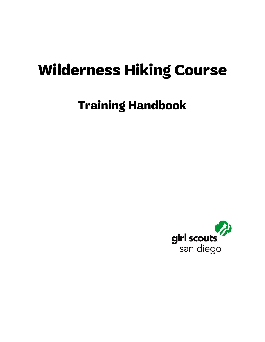## **Wilderness Hiking Course**

### **Training Handbook**

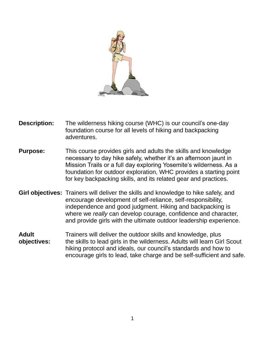

- **Description:** The wilderness hiking course (WHC) is our council's one-day foundation course for all levels of hiking and backpacking adventures.
- **Purpose:** This course provides girls and adults the skills and knowledge necessary to day hike safely, whether it's an afternoon jaunt in Mission Trails or a full day exploring Yosemite's wilderness. As a foundation for outdoor exploration, WHC provides a starting point for key backpacking skills, and its related gear and practices.
- **Girl objectives:** Trainers will deliver the skills and knowledge to hike safely, and encourage development of self-reliance, self-responsibility, independence and good judgment. Hiking and backpacking is where we *really* can develop courage, confidence and character, and provide girls with the ultimate outdoor leadership experience.
- Adult Trainers will deliver the outdoor skills and knowledge, plus **objectives:** the skills to lead girls in the wilderness. Adults will learn Girl Scout hiking protocol and ideals, our council's standards and how to encourage girls to lead, take charge and be self-sufficient and safe.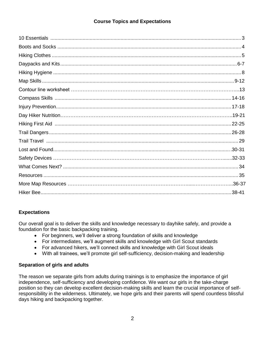#### **Course Topics and Expectations**

#### **Expectations**

Our overall goal is to deliver the skills and knowledge necessary to dayhike safely, and provide a foundation for the basic backpacking training.

- For beginners, we'll deliver a strong foundation of skills and knowledge
- For intermediates, we'll augment skills and knowledge with Girl Scout standards
- For advanced hikers, we'll connect skills and knowledge with Girl Scout ideals
- With all trainees, we'll promote girl self-sufficiency, decision-making and leadership

#### **Separation of girls and adults**

The reason we separate girls from adults during trainings is to emphasize the importance of girl independence, self-sufficiency and developing confidence. We want our girls in the take-charge position so they can develop excellent decision-making skills and learn the crucial importance of selfresponsibility in the wilderness. Ultimately, we hope girls and their parents will spend countless blissful days hiking and backpacking together.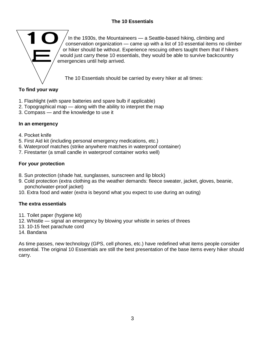#### **The 10 Essentials**



In the 1930s, the Mountaineers — a Seattle-based hiking, climbing and conservation organization — came up with a list of 10 essential items no climber or hiker should be without. Experience rescuing others taught them that if hikers would just carry these 10 essentials, they would be able to survive backcountry emergencies until help arrived.

The 10 Essentials should be carried by every hiker at all times:

#### **To find your way**

- 1. Flashlight (with spare batteries and spare bulb if applicable)
- 2. Topographical map along with the ability to interpret the map
- 3. Compass and the knowledge to use it

#### **In an emergency**

- 4. Pocket knife
- 5. First Aid kit (including personal emergency medications, etc.)
- 6. Waterproof matches (strike anywhere matches in waterproof container)
- 7. Firestarter (a small candle in waterproof container works well)

#### **For your protection**

- 8. Sun protection (shade hat, sunglasses, sunscreen and lip block)
- 9. Cold protection (extra clothing as the weather demands: fleece sweater, jacket, gloves, beanie, poncho/water-proof jacket)
- 10. Extra food and water (e*xtra* is beyond what you expect to use during an outing)

#### **The extra essentials**

- 11. Toilet paper (hygiene kit)
- 12. Whistle signal an emergency by blowing your whistle in series of threes
- 13. 10-15 feet parachute cord
- 14. Bandana

As time passes, new technology (GPS, cell phones, etc.) have redefined what items people consider essential. The original 10 Essentials are still the best presentation of the base items every hiker should carry.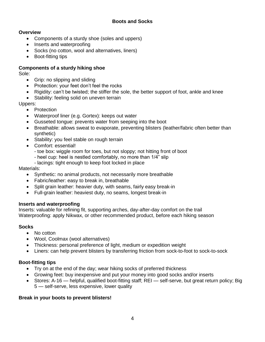#### **Boots and Socks**

#### **Overview**

- Components of a sturdy shoe (soles and uppers)
- Inserts and waterproofing
- Socks (no cotton, wool and alternatives, liners)
- Boot-fitting tips

#### **Components of a sturdy hiking shoe**

Sole:

- Grip: no slipping and sliding
- Protection: your feet don't feel the rocks
- Rigidity: can't be twisted; the stiffer the sole, the better support of foot, ankle and knee
- Stability: feeling solid on uneven terrain

Uppers:

- Protection
- Waterproof liner (e.g. Gortex): keeps out water
- Gusseted tongue: prevents water from seeping into the boot
- Breathable: allows sweat to evaporate, preventing blisters (leather/fabric often better than synthetic)
- Stability: you feel stable on rough terrain
- Comfort: essential!
	- toe box: wiggle room for toes, but not sloppy; not hitting front of boot
	- heel cup: heel is nestled comfortably, no more than 1/4" slip
	- lacings: tight enough to keep foot locked in place

Materials:

- Synthetic: no animal products, not necessarily more breathable
- Fabric/leather: easy to break in, breathable
- Split grain leather: heavier duty, with seams, fairly easy break-in
- Full-grain leather: heaviest duty, no seams, longest break-in

#### **Inserts and waterproofing**

Inserts: valuable for refining fit, supporting arches, day-after-day comfort on the trail Waterproofing: apply Nikwax, or other recommended product, before each hiking season

#### **Socks**

- No cotton
- Wool, Coolmax (wool alternatives)
- Thickness: personal preference of light, medium or expedition weight
- Liners: can help prevent blisters by transferring friction from sock-to-foot to sock-to-sock

#### **Boot-fitting tips**

- Try on at the end of the day; wear hiking socks of preferred thickness
- Growing feet: buy inexpensive and put your money into good socks and/or inserts
- Stores: A-16 helpful, qualified boot-fitting staff; REI self-serve, but great return policy; Big 5 — self-serve, less expensive, lower quality

#### **Break in your boots to prevent blisters!**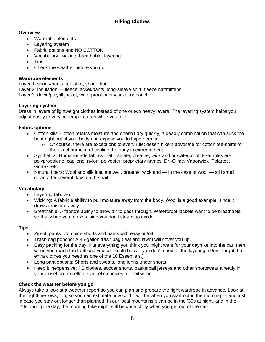- Wardrobe elements
- Layering system
- Fabric options and NO COTTON
- Vocabulary: wicking, breathable, layering
- Tips
- Check the weather before you go

#### **Wardrobe elements**

Layer 1: shorts/pants, tee shirt, shade hat Layer 2: insulation — fleece jacket/pants, long-sleeve shirt, fleece hat/mittens Layer 3: down/polyfill jacket, waterproof pants/jacket or poncho

#### **Layering system**

Dress in layers of lightweight clothes instead of one or two heavy layers. The layering system helps you adjust easily to varying temperatures while you hike.

#### **Fabric options**

- Cotton kills: Cotton retains moisture and doesn't dry quickly, a deadly combination that can suck the heat right out of your body and expose you to hypothermia.
	- $\circ$  Of course, there are exceptions to every rule: desert hikers advocate for cotton tee-shirts for the exact purpose of cooling the body in extreme heat.
- Synthetics: Human-made fabrics that insulate, breathe, wick and or waterproof. Examples are polypropolene, capilene, nylon, polyester; proprietary names: Dri-Clime, Vaporwick, Polartec, Gortex, etc.
- Natural fibers: Wool and silk insulate well, breathe, wick and in the case of wool still smell clean after several days on the trail.

#### **Vocabulary**

- Layering (above)
- Wicking: A fabric's ability to pull moisture away from the body. Wool is a good example, since it draws moisture away.
- Breathable: A fabric's ability to allow air to pass through. Waterproof jackets want to be breathable so that when you're exercising you don't steam up inside.

#### **Tips**

- Zip-off pants: Combine shorts and pants with easy on/off.
- Trash bag poncho: A 45-gallon trash bag (leaf and lawn) will cover you up.
- Easy packing for the day: Put everything you think you might want for your dayhike into the car, then when you reach the trailhead you can scale back if you don't need all the layering. (Don't forget the extra clothes you need as one of the 10 Essentials.)
- Long pant options: Shorts and sweats, long johns under shorts.
- Keep it inexpensive: PE clothes, soccer shorts, basketball jerseys and other sportswear already in your closet are excellent synthetic choices for trail wear.

#### **Check the weather before you go**

Always take a look at a weather report so you can plan and prepare the right wardrobe in advance. Look at the nighttime lows, too, so you can estimate how cold it will be when you start out in the morning — and just in case you stay out longer than planned. In our local mountains it can be in the '30s at night, and in the '70s during the day; the morning hike might still be quite chilly when you get out of the car.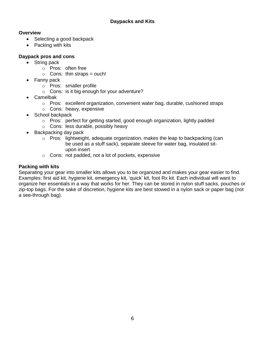- Selecting a good backpack
- Packing with kits

### **Daypack pros and cons**

- String pack
	- o Pros: often free
	- $\circ$  Cons: thin straps = ouch!
- Fanny pack
	- o Pros: smaller profile
	- o Cons: is it big enough for your adventure?
- Camelbak
	- $\circ$  Pros: excellent organization, convenient water bag, durable, cushioned straps
	- o Cons: heavy, expensive
- School backpack
	- o Pros: perfect for getting started, good enough organization, lightly padded
	- o Cons: less durable, possibly heavy
- Backpacking day pack
	- $\circ$  Pros: lightweight, adequate organization, makes the leap to backpacking (can be used as a stuff sack), separate sleeve for water bag, insulated situpon insert
	- o Cons: not padded, not a lot of pockets, expensive

#### **Packing with kits**

Separating your gear into smaller kits allows you to be organized and makes your gear easier to find. Examples: first aid kit, hygiene kit, emergency kit, 'quick' kit, foot Rx kit. Each individual will want to organize her essentials in a way that works for her. They can be stored in nylon stuff sacks, pouches or zip-top bags. For the sake of discretion, hygiene kits are best stowed in a nylon sack or paper bag (not a see-through bag).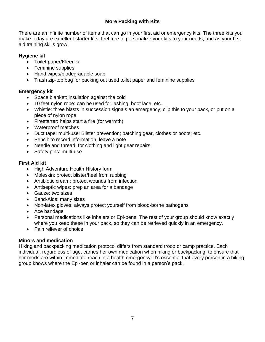#### **More Packing with Kits**

There are an infinite number of items that can go in your first aid or emergency kits. The three kits you make today are excellent starter kits; feel free to personalize your kits to your needs, and as your first aid training skills grow.

#### **Hygiene kit**

- Toilet paper/Kleenex
- Feminine supplies
- Hand wipes/biodegradable soap
- Trash zip-top bag for packing out used toilet paper and feminine supplies

#### **Emergency kit**

- Space blanket: insulation against the cold
- 10 feet nylon rope: can be used for lashing, boot lace, etc.
- Whistle: three blasts in succession signals an emergency; clip this to your pack, or put on a piece of nylon rope
- Firestarter: helps start a fire (for warmth)
- Waterproof matches
- Duct tape: multi-use! Blister prevention; patching gear, clothes or boots; etc.
- Pencil: to record information, leave a note
- Needle and thread: for clothing and light gear repairs
- Safety pins: multi-use

#### **First Aid kit**

- High Adventure Health History form
- Moleskin: protect blister/heel from rubbing
- Antibiotic cream: protect wounds from infection
- Antiseptic wipes: prep an area for a bandage
- Gauze: two sizes
- Band-Aids: many sizes
- Non-latex gloves: always protect yourself from blood-borne pathogens
- Ace bandage
- Personal medications like inhalers or Epi-pens. The rest of your group should know exactly where you keep these in your pack, so they can be retrieved quickly in an emergency.
- Pain reliever of choice

#### **Minors and medication**

Hiking and backpacking medication protocol differs from standard troop or camp practice. Each individual, regardless of age, carries her own medication when hiking or backpacking, to ensure that her meds are within immediate reach in a health emergency. It's essential that every person in a hiking group knows where the Epi-pen or inhaler can be found in a person's pack.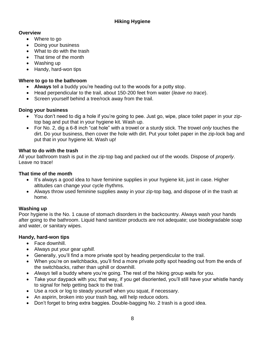- Where to go
- Doing your business
- What to do with the trash
- That time of the month
- Washing up
- Handy, hard-won tips

#### **Where to go to the bathroom**

- **Always** tell a buddy you're heading out to the woods for a potty stop.
- Head perpendicular to the trail, about 150-200 feet from water (*leave no trace*).
- Screen yourself behind a tree/rock away from the trail.

#### **Doing your business**

- You don't need to dig a hole if you're going to pee. Just go, wipe, place toilet paper in your ziptop bag and put that in your hygiene kit. Wash up.
- For No. 2, dig a 6-8 inch "cat hole" with a trowel or a sturdy stick. The trowel *only* touches the dirt. Do your business, then cover the hole with dirt. Put your toilet paper in the zip-lock bag and put that in your hygiene kit. Wash up!

#### **What to do with the trash**

All your bathroom trash is put in the zip-top bag and packed out of the woods. Dispose of *properly*. Leave no trace!

#### **That time of the month**

- It's always a good idea to have feminine supplies in your hygiene kit, just in case. Higher altitudes can change your cycle rhythms.
- Always throw used feminine supplies away in your zip-top bag, and dispose of in the trash at home.

#### **Washing up**

Poor hygiene is the No. 1 cause of stomach disorders in the backcountry. Always wash your hands after going to the bathroom. Liquid hand sanitizer products are not adequate; use biodegradable soap and water, or sanitary wipes.

#### **Handy, hard-won tips**

- Face downhill.
- Always put your gear *uphill.*
- Generally, you'll find a more private spot by heading perpendicular to the trail.
- When you're on switchbacks, you'll find a more private potty spot heading out from the ends of the switchbacks, rather than uphill or downhill.
- *Always* tell a buddy where you're going. The rest of the hiking group waits for you.
- Take your daypack with you; that way, if you get disoriented, you'll still have your whistle handy to signal for help getting back to the trail.
- Use a rock or log to steady yourself when you squat, if necessary.
- An aspirin, broken into your trash bag, will help reduce odors.
- Don't forget to bring extra baggies. Double-bagging No. 2 trash is a good idea.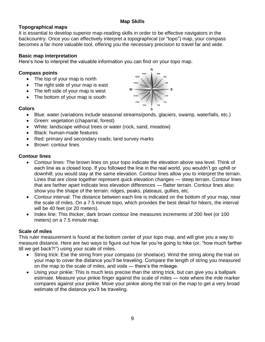#### **Map Skills**

#### **Topographical maps**

It is essential to develop superior map-reading skills in order to be effective navigators in the backcountry. Once you can effectively interpret a topographical (or "topo") map, your compass becomes a far more valuable tool, offering you the necessary precision to travel far and wide.

#### **Basic map interpretation**

Here's how to interpret the valuable information you can find on your topo map.

#### **Compass points**

- The top of your map is north
- The right side of your map is east
- The left side of your map is west
- The bottom of your map is south

#### **Colors**

- Blue: water (variations include seasonal streams/ponds, glaciers, swamp, waterfalls, etc.)
- Green: vegetation (chaparral, forest)
- White: landscape without trees or water (rock, sand, meadow)
- Black: human-made features
- Red: primary and secondary roads; land survey marks
- Brown: contour lines

#### **Contour lines**

- Contour lines: The brown lines on your topo indicate the elevation above sea level. Think of each line as a closed loop. If you followed the line in the real world, you wouldn't go uphill or downhill; you would stay at the same elevation. Contour lines allow you to interpret the terrain. Lines that are close together represent quick elevation changes — steep terrain. Contour lines that are farther apart indicate less elevation differences — flatter terrain. Contour lines also show you the shape of the terrain: ridges, peaks, plateaus, gullies, etc.
- Contour interval: The distance between each line is indicated on the bottom of your map, near the scale of miles. On a 7.5 minute topo, which provides the best detail for hikers, the interval will be 40 feet (or 20 meters).
- Index line: This thicker, dark brown contour line measures increments of 200 feet (or 100 meters) on a 7.5 minute map.

#### **Scale of miles**

This ruler measurement is found at the bottom center of your topo map, and will give you a way to measure distance. Here are two ways to figure out how far you're going to hike (or, "how much farther till we get back?!") using your scale of miles.

- String trick: Ese the string from your compass (or shoelace). Wind the string along the trail on your map to cover the distance you'll be traveling. Compare the length of string you measured on the map to the scale of miles, and *voila* — there's the mileage.
- Using your pinkie: This is much less precise than the string trick, but can give you a ballpark estimate. Measure your pinkie finger against the scale of miles — note where the mile marker compares against your pinkie. Move your pinkie along the trail on the map to get a very broad estimate of the distance you'll be traveling.

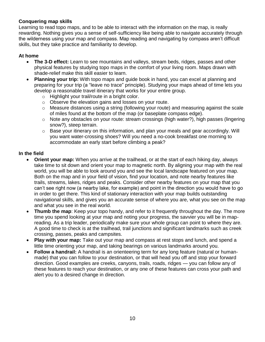#### **Conquering map skills**

Learning to read topo maps, and to be able to interact with the information on the map, is really rewarding. Nothing gives you a sense of self-sufficiency like being able to navigate accurately through the wilderness using your map and compass. Map reading and navigating by compass aren't difficult skills, but they take practice and familiarity to develop.

#### **At home**

- **The 3-D effect:** Learn to see mountains and valleys, stream beds, ridges, passes and other physical features by studying topo maps in the comfort of your living room. Maps drawn with shade-relief make this skill easier to learn.
- **Planning your trip:** With topo maps and guide book in hand, you can excel at planning and preparing for your trip (a "leave no trace" principle). Studying your maps ahead of time lets you develop a reasonable travel itinerary that works for your entire group.
	- o Highlight your trail/route in a bright color.
	- o Observe the elevation gains and losses on your route.
	- $\circ$  Measure distances using a string (following your route) and measuring against the scale of miles found at the bottom of the map (or baseplate compass edge).
	- $\circ$  Note any obstacles on your route: stream crossings (high water?), high passes (lingering snow?), steep terrain.
	- o Base your itinerary on this information, and plan your meals and gear accordingly. Will you want water-crossing shoes? Will you need a no-cook breakfast one morning to accommodate an early start before climbing a peak?

#### **In the field**

- **Orient your map:** When you arrive at the trailhead, or at the start of each hiking day, always take time to sit down and orient your map to magnetic north. By aligning your map with the real world, you will be able to look around you and see the local landscape featured on your map. Both on the map and in your field of vision, find your location, and note nearby features like trails, streams, lakes, ridges and peaks. Consider other nearby features on your map that you can't see right now (a nearby lake, for example) and point in the direction you would have to go in order to get there. This kind of stationary interaction with your map builds outstanding navigational skills, and gives you an accurate sense of where you are, what you see on the map and what you see in the real world.
- **Thumb the map**: Keep your topo handy, and refer to it frequently throughout the day. The more time you spend looking at your map and noting your progress, the savvier you will be in mapreading. As a trip leader, periodically make sure your whole group can point to where they are. A good time to check is at the trailhead, trail junctions and significant landmarks such as creek crossing, passes, peaks and campsites.
- Play with your map: Take out your map and compass at rest stops and lunch, and spend a little time orienting your map, and taking bearings on various landmarks around you.
- **Follow a handrail:** A handrail is an orienteering term for any long feature (natural or humanmade) that you can follow to your destination, or that will head you off and stop your forward direction. Good examples are creeks, canyons, trails, roads, ridges — you can follow any of these features to reach your destination, or any one of these features can cross your path and alert you to a desired change in direction.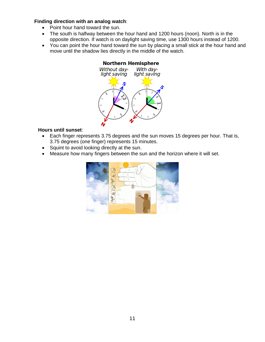#### **Finding direction with an analog watch**:

- Point hour hand toward the sun.
- The south is halfway between the hour hand and 1200 hours (noon). North is in the opposite direction. If watch is on daylight saving time, use 1300 hours instead of 1200.
- You can point the hour hand toward the sun by placing a small stick at the hour hand and move until the shadow lies directly in the middle of the watch.

#### **Northern Hemisphere**



#### **Hours until sunset**:

- Each finger represents 3.75 degrees and the sun moves 15 degrees per hour. That is, 3.75 degrees (one finger) represents 15 minutes.
- Squint to avoid looking directly at the sun.
- Measure how many fingers between the sun and the horizon where it will set.

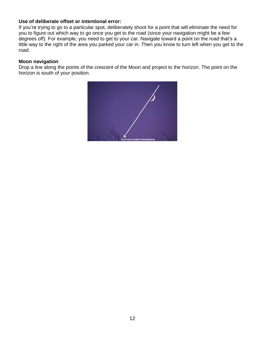#### **Use of deliberate offset or intentional error:**

If you're trying to go to a particular spot, deliberately shoot for a point that will eliminate the need for you to figure out which way to go once you get to the road (since your navigation might be a few degrees off). For example, you need to get to your car. Navigate toward a point on the road that's a little way to the right of the area you parked your car in. Then you know to turn left when you get to the road.

#### **Moon navigation**:

Drop a line along the points of the crescent of the Moon and project to the horizon. The point on the horizon is south of your position.

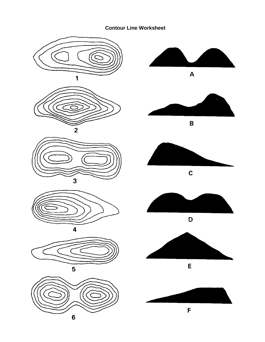#### **Contour Line Worksheet**



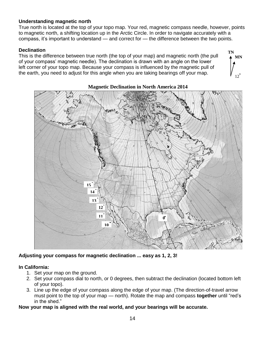#### **Understanding magnetic north**

True north is located at the top of your topo map. Your red, magnetic compass needle, however, points to magnetic north, a shifting location up in the Arctic Circle. In order to navigate accurately with a compass, it's important to understand — and correct for — the difference between the two points.

#### **Declination**

This is the difference between true north (the top of your map) and magnetic north (the pull of your compass' magnetic needle). The declination is drawn with an angle on the lower left corner of your topo map. Because your compass is influenced by the magnetic pull of the earth, you need to adjust for this angle when you are taking bearings off your map.



#### **Magnetic Declination in North America 2014**

**TN MN**

12

**Adjusting your compass for magnetic declination ... easy as 1, 2, 3!**

#### **In California:**

- 1. Set your map on the ground.
- 2. Set your compass dial to north, or 0 degrees, then subtract the declination (located bottom left of your topo).
- 3. Line up the edge of your compass along the edge of your map. (The direction-of-travel arrow must point to the top of your map — north). Rotate the map and compass **together** until "red's in the shed."

#### **Now your map is aligned with the real world, and your bearings will be accurate.**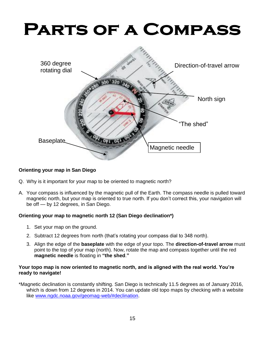# **PARTS OF A COMPASS**



#### **Orienting your map in San Diego**

- Q. Why is it important for your map to be oriented to magnetic north?
- A. Your compass is influenced by the magnetic pull of the Earth. The compass needle is pulled toward magnetic north, but your map is oriented to true north. If you don't correct this, your navigation will be off — by 12 degrees, in San Diego.

#### **Orienting your map to magnetic north 12 (San Diego declination\*)**

- 1. Set your map on the ground.
- 2. Subtract 12 degrees from north (that's rotating your compass dial to 348 north).
- 3. Align the edge of the **baseplate** with the edge of your topo. The **direction-of-travel arrow** must point to the top of your map (north). Now, rotate the map and compass together until the red **magnetic needle** is floating in **"the shed**.**"**

#### **Your topo map is now oriented to magnetic north, and is aligned with the real world. You're ready to navigate!**

\*Magnetic declination is constantly shifting. San Diego is technically 11.5 degrees as of January 2016, which is down from 12 degrees in 2014. You can update old topo maps by checking with a website like [www.ngdc.noaa.gov/geomag-web/#declination.](http://www.ngdc.noaa.gov/geomag-web/#declination)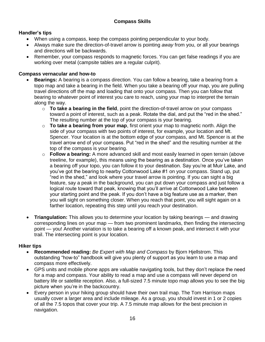#### **Compass Skills**

#### **Handler's tips**

- When using a compass, keep the compass pointing perpendicular to your body.
- Always make sure the direction-of-travel arrow is pointing *away* from you, or all your bearings and directions will be backwards.
- Remember, your compass responds to magnetic forces. You can get false readings if you are working over metal (campsite tables are a regular culprit).

#### **Compass vernacular and how-to**

- **Bearings:** A bearing is a compass direction. You can follow a bearing, take a bearing from a topo map and take a bearing in the field. When you take a bearing off your map, you are pulling travel directions off the map and loading that onto your compass. Then you can follow that bearing to whatever point of interest you care to reach, using your map to interpret the terrain along the way.
	- o **To take a bearing in the field**, point the direction-of-travel arrow on your compass toward a point of interest, such as a peak. Rotate the dial, and put the "red in the shed." The resulting number at the top of your compass is your bearing.
	- o **To take a bearing from your map**, first orient your map to magnetic north. Align the side of your compass with two points of interest, for example, your location and Mt. Spencer. Your location is at the bottom edge of your compass, and Mt. Spencer is at the travel arrow end of your compass. Put "red in the shed" and the resulting number at the top of the compass is your bearing.
	- o **Follow a bearing:** A more advanced skill and most easily learned in open terrain (above treeline, for example), this means using the bearing as a destination. Once you've taken a bearing off your topo, you can follow it to your destination. Say you're at Muir Lake, and you've got the bearing to nearby Cottonwood Lake #1 on your compass. Stand up, put "red in the shed," and look where your travel arrow is pointing. If you can sight a big feature, say a peak in the background, you can put down your compass and just follow a logical route toward that peak, knowing that you'll arrive at Cottonwood Lake between your starting point and the peak. If you don't have a big feature use as a marker, then you will sight on something closer. When you reach that point, you will sight again on a farther location, repeating this step until you reach your destination.
- **Triangulation:** This allows you to determine your location by taking bearings and drawing corresponding lines on your map — from two prominent landmarks, then finding the intersecting point — you! Another variation is to take a bearing off a known peak, and intersect it with your trail. The intersecting point is your location.

#### **Hiker tips**

- **Recommended reading:** *Be Expert with Map and Compass* by Bjorn Hjellstrom. This outstanding "how-to" handbook will give you plenty of support as you learn to use a map and compass more effectively.
- GPS units and mobile phone apps are valuable navigating tools, but they don't replace the need for a map and compass. Your ability to read a map and use a compass will never depend on battery life or satellite reception. Also, a full-sized 7.5 minute topo map allows you to see the big picture when you're in the backcountry.
- Every person in your hiking group should have their own trail map. The Tom Harrison maps usually cover a larger area and include mileage. As a group, you should invest in 1 or 2 copies of all the 7.5 topos that cover your trip. A 7.5 minute map allows for the best precision in navigation.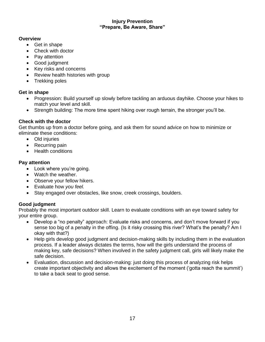#### **Injury Prevention "Prepare, Be Aware, Share"**

#### **Overview**

- Get in shape
- Check with doctor
- Pay attention
- Good judgment
- Key risks and concerns
- Review health histories with group
- Trekking poles

#### **Get in shape**

- Progression: Build yourself up slowly before tackling an arduous dayhike. Choose your hikes to match your level and skill.
- Strength building: The more time spent hiking over rough terrain, the stronger you'll be.

#### **Check with the doctor**

Get thumbs up from a doctor before going, and ask them for sound advice on how to minimize or eliminate these conditions:

- Old injuries
- Recurring pain
- Health conditions

#### **Pay attention**

- Look where you're going.
- Watch the weather.
- Observe your fellow hikers.
- Evaluate how *you feel.*
- Stay engaged over obstacles, like snow, creek crossings, boulders.

#### **Good judgment**

Probably the most important outdoor skill. Learn to evaluate conditions with an eye toward safety for your entire group.

- Develop a "no penalty" approach: Evaluate risks and concerns, and don't move forward if you sense too big of a penalty in the offing. (Is it risky crossing this river? What's the penalty? Am I okay with that?)
- Help girls develop good judgment and decision-making skills by including them in the evaluation process. If a leader always dictates the terms, how will the girls understand the process of making key, safe decisions? When involved in the safety judgment call, girls will likely make the safe decision.
- Evaluation, discussion and decision-making: just doing this process of analyzing risk helps create important objectivity and allows the excitement of the moment ('gotta reach the summit') to take a back seat to good sense.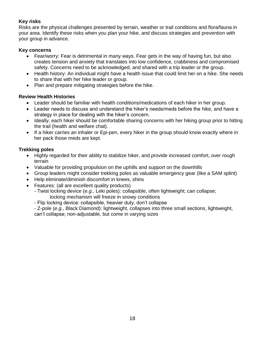#### **Key risks**

Risks are the physical challenges presented by terrain, weather or trail conditions and flora/fauna in your area. Identify these risks when you plan your hike, and discuss strategies and prevention with your group in advance.

#### **Key concerns**

- Fear/worry: Fear is detrimental in many ways. Fear gets in the way of having fun, but also creates tension and anxiety that translates into low confidence, crabbiness and compromised safety. Concerns need to be acknowledged, and shared with a trip leader or the group.
- Health history: An individual might have a health issue that could limit her on a hike. She needs to share that with her hike leader or group.
- Plan and prepare mitigating strategies before the hike.

#### **Review Health Histories**

- Leader should be familiar with health conditions/medications of each hiker in her group.
- Leader needs to discuss and understand the hiker's needs/meds before the hike, and have a strategy in place for dealing with the hiker's concern.
- Ideally, each hiker should be comfortable sharing concerns with her hiking group prior to hitting the trail (health and welfare chat).
- If a hiker carries an inhaler or Epi-pen, every hiker in the group should know exactly where in her pack those meds are kept.

#### **Trekking poles**

- Highly regarded for their ability to stabilize hiker, and provide increased comfort, over rough terrain
- Valuable for providing propulsion on the uphills and support on the downhills
- Group leaders might consider trekking poles as valuable emergency gear (like a SAM splint)
- Help eliminate/diminish discomfort in knees, shins
- Features: (all are excellent quality products)
	- Twist locking device (*e.g.,* Leki poles): collapsible, often lightweight; can collapse; locking mechanism will freeze in snowy conditions
		- Flip locking device: collapsible, heavier duty, don't collapse

- Z-pole (*e.g.,* Black Diamond): lightweight, collapses into three small sections, lightweight,

can't collapse; non-adjustable, but come in varying sizes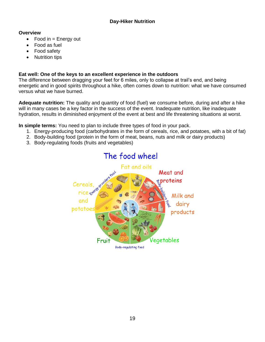- $\bullet$  Food in = Energy out
- Food as fuel
- Food safety
- Nutrition tips

#### **Eat well: One of the keys to an excellent experience in the outdoors**

The difference between dragging your feet for 6 miles, only to collapse at trail's end, and being energetic and in good spirits throughout a hike, often comes down to nutrition: what we have consumed versus what we have burned.

**Adequate nutrition:** The quality and quantity of food (fuel) we consume before, during and after a hike will in many cases be a key factor in the success of the event. Inadequate nutrition, like inadequate hydration, results in diminished enjoyment of the event at best and life threatening situations at worst.

**In simple terms:** You need to plan to include three types of food in your pack.

- 1. Energy-producing food (carbohydrates in the form of cereals, rice, and potatoes, with a bit of fat)
- 2. Body-building food (protein in the form of meat, beans, nuts and milk or dairy products)
- 3. Body-regulating foods (fruits and vegetables)

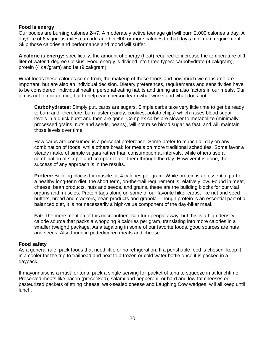#### **Food is energy**

Our bodies are burning calories 24/7. A moderately active teenage girl will burn 2,000 calories a day. A dayhike of 6 vigorous miles can add another 600 or more calories to that day's minimum requirement. Skip those calories and performance and mood will suffer.

**A calorie is energy:** specifically, the amount of energy (heat) required to increase the temperature of 1 liter of water 1 degree Celsius. Food energy is divided into three types: carbohydrate (4 cal/gram), protein (4 cal/gram) and fat (9 cal/gram).

What foods these calories come from, the makeup of these foods and how much we consume are important, but are also an individual decision. Dietary preferences, requirements and sensitivities have to be considered. Individual health, personal eating habits and timing are also factors in our meals. Our aim is not to dictate diet, but to help each person learn what works and what does not.

**Carbohydrates:** Simply put, carbs are sugars. Simple carbs take very little time to get be ready to burn and, therefore, burn faster (candy, cookies, potato chips) which raises blood sugar levels in a quick burst and then are gone. Complex carbs are slower to metabolize (minimally processed grains, nuts and seeds, beans), will not raise blood sugar as fast, and will maintain those levels over time.

How carbs are consumed is a personal preference. Some prefer to munch all day on any combination of foods, while others break for meals on more traditional schedules. Some favor a steady intake of simple sugars rather than consumption at intervals, while others use a combination of simple and complex to get them through the day. However it is done, the success of any approach is in the results.

**Protein:** Building blocks for muscle, at 4 calories per gram. While protein is an essential part of a healthy long-term diet, the short term, on-the-trail requirement is relatively low. Found in meat, cheese, bean products, nuts and seeds, and grains, these are the building blocks for our vital organs and muscles. Protein tags along on some of our favorite hiker carbs, like nut and seed butters, bread and crackers, bean products and granola. Though protein is an essential part of a balanced diet, it is not necessarily a high-value component of the day-hiker meal.

**Fat:** The mere mention of this micronutrient can turn people away, but this is a high density calorie source that packs a whopping 9 calories per gram, translating into more calories in a smaller (weight) package. As a tagalong in some of our favorite foods, good sources are nuts and seeds. Also found in potted/cured meats and cheese.

#### **Food safety**

As a general rule, pack foods that need little or no refrigeration. If a perishable food is chosen, keep it in a cooler for the trip to trailhead and next to a frozen or cold water bottle once it is packed in a daypack.

If mayonnaise is a must for tuna, pack a single-serving foil packet of tuna to squeeze in at lunchtime. Preserved meats like bacon (precooked), salami and pepperoni, or hard and low-fat cheeses or pasteurized packets of string cheese, wax-sealed cheese and Laughing Cow wedges, will all keep until lunch.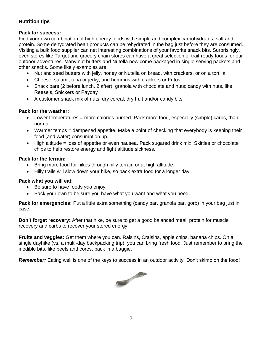#### **Nutrition tips**

#### **Pack for success:**

Find your own combination of high energy foods with simple and complex carbohydrates, salt and protein. Some dehydrated bean products can be rehydrated in the bag just before they are consumed. Visiting a bulk food supplier can net interesting combinations of your favorite snack bits. Surprisingly, even stores like Target and grocery chain stores can have a great selection of trail-ready foods for our outdoor adventures. Many nut butters and Nutella now come packaged in single serving packets and other snacks. Some likely examples are:

- Nut and seed butters with jelly, honey or Nutella on bread, with crackers, or on a tortilla
- Cheese; salami, tuna or jerky; and hummus with crackers or Fritos
- Snack bars (2 before lunch, 2 after); granola with chocolate and nuts; candy with nuts, like Reese's, Snickers or Payday
- A customer snack mix of nuts, dry cereal, dry fruit and/or candy bits

#### **Pack for the weather:**

- Lower temperatures = more calories burned. Pack more food, especially (simple) carbs, than normal.
- Warmer temps = dampened appetite. Make a point of checking that everybody is keeping their food (and water) consumption up.
- High altitude = loss of appetite or even nausea. Pack sugared drink mix, Skittles or chocolate chips to help restore energy and fight altitude sickness.

#### **Pack for the terrain:**

- Bring more food for hikes through hilly terrain or at high altitude.
- Hilly trails will slow down your hike, so pack extra food for a longer day.

#### **Pack what you will eat:**

- Be sure to have foods *you* enjoy.
- Pack your own to be sure you have what you want and what you need.

**Pack for emergencies:** Put a little extra something (candy bar, granola bar, gorp) in your bag just in case.

**Don't forget recovery:** After that hike, be sure to get a good balanced meal: protein for muscle recovery and carbs to recover your stored energy.

**Fruits and veggies:** Get them where you can. Raisins, Craisins, apple chips, banana chips. On a single dayhike (vs. a multi-day backpacking trip), you can bring fresh food. Just remember to bring the inedible bits, like peels and cores, back in a baggie.

*Remember:* Eating well is one of the keys to success in an outdoor activity. Don't skimp on the food!

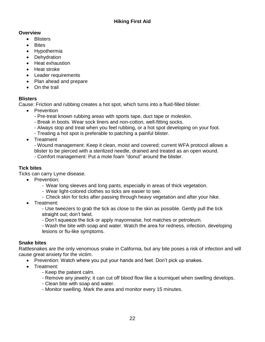- **•** Blisters
- **•** Bites
- Hypothermia
- Dehydration
- Heat exhaustion
- Heat stroke
- Leader requirements
- Plan ahead and prepare
- On the trail

#### **Blisters**

Cause: Friction and rubbing creates a hot spot, which turns into a fluid-filled blister.

- Prevention
	- Pre-treat known rubbing areas with sports tape, duct tape or moleskin.
	- Break in boots. Wear sock liners and non-cotton, well-fitting socks.
	- Always stop and treat when you feel rubbing, or a hot spot developing on your foot.
	- Treating a hot spot is preferable to patching a painful blister.
- Treatment

- Wound management: Keep it clean, moist and covered; current WFA protocol allows a blister to be pierced with a sterilized needle, drained and treated as an open wound.

- Comfort management: Put a mole foam "donut" around the blister.

#### **Tick bites**

Ticks can carry Lyme disease.

- Prevention:
	- Wear long sleeves and long pants, especially in areas of thick vegetation.
	- Wear light-colored clothes so ticks are easier to see.
	- Check skin for ticks after passing through heavy vegetation and after your hike.
- Treatment:

- Use tweezers to grab the tick as close to the skin as possible. Gently pull the tick straight out; don't twist.

- Don't squeeze the tick or apply mayonnaise, hot matches or petroleum.

- Wash the bite with soap and water. Watch the area for redness, infection, developing lesions or flu-like symptoms.

#### **Snake bites**

Rattlesnakes are the only venomous snake in California, but any bite poses a risk of infection and will cause great anxiety for the victim.

- Prevention: Watch where you put your hands and feet. Don't pick up snakes.
- Treatment:
	- Keep the patient calm.
	- Remove any jewelry; it can cut off blood flow like a tourniquet when swelling develops.
	- Clean bite with soap and water.
	- Monitor swelling. Mark the area and monitor every 15 minutes.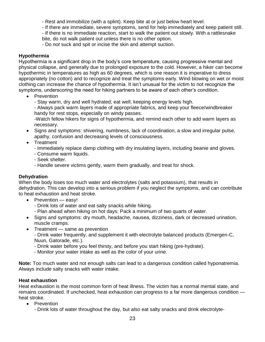- Rest and immobilize (with a splint). Keep bite at or just below heart level.

- If there are immediate, severe symptoms, send for help immediately and keep patient still.

- If there is no immediate reaction, start to walk the patient out slowly. With a rattlesnake bite, do not walk patient out unless there is no other option.

- Do *not* suck and spit or incise the skin and attempt suction.

#### **Hypothermia**

Hypothermia is a significant drop in the body's core temperature, causing progressive mental and physical collapse, and generally due to prolonged exposure to the cold. However, a hiker can become hypothermic in temperatures as high as 60 degrees, which is one reason it is imperative to dress appropriately (no cotton) and to recognize and treat the symptoms early. Wind blowing on wet or moist clothing can increase the chance of hypothermia. It isn't unusual for the victim to not recognize the symptoms, underscoring the need for hiking partners to be aware of each other's condition.

• Prevention

- Stay warm, dry and well hydrated; eat well, keeping energy levels high.

- Always pack warm layers made of appropriate fabrics, and keep your fleece/windbreaker handy for rest stops, especially on windy passes.

-Watch fellow hikers for signs of hypothermia, and remind each other to add warm layers as necessary.

- Signs and symptoms: shivering, numbness, lack of coordination, a slow and irregular pulse, apathy, confusion and decreasing levels of consciousness.
- Treatment
	- Immediately replace damp clothing with dry insulating layers, including beanie and gloves.
	- Consume warm liquids.
	- Seek shelter.
	- Handle severe victims gently, warm them gradually, and treat for shock.

#### **Dehydration**

When the body loses too much water and electrolytes (salts and potassium), that results in dehydration. This can develop into a serious problem if you neglect the symptoms, and can contribute to heat exhaustion and heat stroke.

- Prevention easy!
	- Drink lots of water and eat salty snacks while hiking.
	- Plan ahead when hiking on hot days: Pack a minimum of two quarts of water.
- Signs and symptoms: dry mouth, headache, nausea, dizziness, dark or decreased urination, muscle cramps.
- Treatment same as prevention - Drink water frequently, and supplement it with electrolyte balanced products (Emergen-C, Nuun, Gatorade, etc.).
	- Drink water before you feel thirsty, and before you start hiking (pre-hydrate).
	- Monitor your water intake as well as the color of your urine.

**Note:** Too much water and not enough salts can lead to a dangerous condition called hyponatremia. Always include salty snacks with water intake.

#### **Heat exhaustion**

Heat exhaustion is the most common form of heat illness. The victim has a normal mental state, and remains coordinated. If unchecked, heat exhaustion can progress to a far more dangerous condition heat stroke.

- Prevention
	- Drink lots of water throughout the day, but *also* eat salty snacks and drink electrolyte-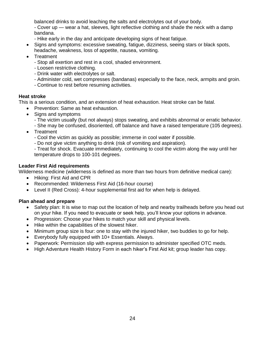balanced drinks to avoid leaching the salts and electrolytes out of your body.

- Cover up — wear a hat, sleeves, light reflective clothing and shade the neck with a damp bandana.

- Hike early in the day and anticipate developing signs of heat fatigue.
- Signs and symptoms: excessive sweating, fatigue, dizziness, seeing stars or black spots, headache, weakness, loss of appetite, nausea, vomiting.
- Treatment
	- Stop all exertion and rest in a cool, shaded environment.
	- Loosen restrictive clothing.
	- Drink water with electrolytes or salt.
	- Administer cold, wet compresses (bandanas) especially to the face, neck, armpits and groin.
	- Continue to rest before resuming activities.

#### **Heat stroke**

This is a serious condition, and an extension of heat exhaustion. Heat stroke can be fatal.

- Prevention: Same as heat exhaustion.
- Signs and symptoms
	- The victim usually (but not always) stops sweating, and exhibits abnormal or erratic behavior.
	- She may be confused, disoriented, off balance and have a raised temperature (105 degrees).
- Treatment
	- Cool the victim as quickly as possible; immerse in cool water if possible.
	- Do not give victim anything to drink (risk of vomiting and aspiration).
	- Treat for shock. Evacuate immediately, continuing to cool the victim along the way until her temperature drops to 100-101 degrees.

#### **Leader First Aid requirements**

Wilderness medicine (wilderness is defined as more than two hours from definitive medical care):

- Hiking: First Aid and CPR
- Recommended: Wilderness First Aid (16-hour course)
- Level II (Red Cross): 4-hour supplemental first aid for when help is delayed.

#### **Plan ahead and prepare**

- Safety plan: It is wise to map out the location of help and nearby trailheads before you head out on your hike. If you need to evacuate or seek help, you'll know your options in advance.
- Progression: Choose your hikes to match your skill and physical levels.
- Hike within the capabilities of the slowest hiker.
- Minimum group size is four: one to stay with the injured hiker, two buddies to go for help.
- Everybody fully equipped with 10+ Essentials. Always.
- Paperwork: Permission slip with express permission to administer specified OTC meds.
- High Adventure Health History Form in each hiker's First Aid kit; group leader has copy.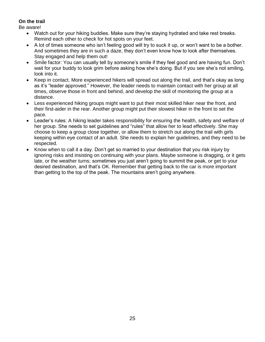#### **On the trail**

Be aware!

- Watch out for your hiking buddies. Make sure they're staying hydrated and take rest breaks. Remind each other to check for hot spots on your feet.
- A lot of times someone who isn't feeling good will try to suck it up, or won't want to be a bother. And sometimes they are in such a daze, they don't even know how to look after themselves. Stay engaged and help them out!
- Smile factor: You can usually tell by someone's smile if they feel good and are having fun. Don't wait for your buddy to look grim before asking how she's doing. But if you see she's not smiling, look into it.
- Keep in contact. More experienced hikers will spread out along the trail, and that's okay as long as it's "leader approved." However, the leader needs to maintain contact with her group at all times, observe those in front and behind, and develop the skill of monitoring the group at a distance.
- Less experienced hiking groups might want to put their most skilled hiker near the front, and their first-aider in the rear. Another group might put their slowest hiker in the front to set the pace.
- Leader's rules: A hiking leader takes responsibility for ensuring the health, safety and welfare of her group. She needs to set guidelines and "rules" that allow her to lead effectively. She may choose to keep a group close together, or allow them to stretch out along the trail with girls keeping within eye contact of an adult. She needs to explain her guidelines, and they need to be respected.
- Know when to call it a day. Don't get so married to your destination that you risk injury by ignoring risks and insisting on continuing with your plans. Maybe someone is dragging, or it gets late, or the weather turns; sometimes you just aren't going to summit the peak, or get to your desired destination, and that's OK. Remember that getting back to the car is more important than getting to the top of the peak. The mountains aren't going anywhere.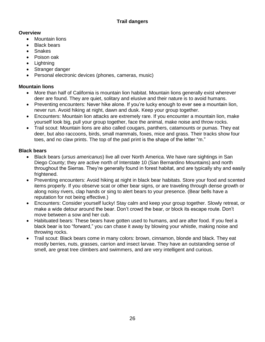- Mountain lions
- Black bears
- Snakes
- Poison oak
- Lightning
- Stranger danger
- Personal electronic devices (phones, cameras, music)

#### **Mountain lions**

- More than half of California is mountain lion habitat. Mountain lions generally exist wherever deer are found. They are quiet, solitary and elusive and their nature is to avoid humans.
- Preventing encounters: Never hike alone. If you're lucky enough to ever see a mountain lion, never run. Avoid hiking at night, dawn and dusk. Keep your group together.
- Encounters: Mountain lion attacks are extremely rare. If you encounter a mountain lion, make yourself look big, pull your group together, face the animal, make noise and throw rocks.
- Trail scout: Mountain lions are also called cougars, panthers, catamounts or pumas. They eat deer, but also raccoons, birds, small mammals, foxes, mice and grass. Their tracks show four toes, and no claw prints. The top of the pad print is the shape of the letter "m."

#### **Black bears**

- Black bears (*ursus americanus*) live all over North America. We have rare sightings in San Diego County; they are active north of Interstate 10 (San Bernardino Mountains) and north throughout the Sierras. They're generally found in forest habitat, and are typically shy and easily frightened.
- Preventing encounters: Avoid hiking at night in black bear habitats. Store your food and scented items properly. If you observe scat or other bear signs, or are traveling through dense growth or along noisy rivers, clap hands or sing to alert bears to your presence. (Bear bells have a reputation for not being effective.)
- Encounters: Consider yourself lucky! Stay calm and keep your group together. Slowly retreat, or make a wide detour around the bear. Don't crowd the bear, or block its escape route. Don't move between a sow and her cub.
- Habituated bears: These bears have gotten used to humans, and are after food. If you feel a black bear is too "forward," you can chase it away by blowing your whistle, making noise and throwing rocks.
- Trail scout: Black bears come in many colors: brown, cinnamon, blonde and black. They eat mostly berries, nuts, grasses, carrion and insect larvae. They have an outstanding sense of smell, are great tree climbers and swimmers, and are very intelligent and curious.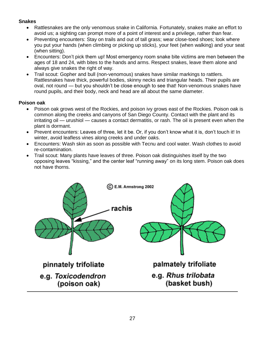#### **Snakes**

- Rattlesnakes are the only venomous snake in California. Fortunately, snakes make an effort to avoid us; a sighting can prompt more of a point of interest and a privilege, rather than fear.
- Preventing encounters: Stay on trails and out of tall grass; wear close-toed shoes; look where you put your hands (when climbing or picking up sticks), your feet (when walking) and your seat (when sitting).
- Encounters: Don't pick them up! Most emergency room snake bite victims are men between the ages of 18 and 24, with bites to the hands and arms. Respect snakes, leave them alone and always give snakes the right of way.
- Trail scout: Gopher and bull (non-venomous) snakes have similar markings to rattlers. Rattlesnakes have thick, powerful bodies, skinny necks and triangular heads. Their pupils are oval, not round — but you shouldn't be close enough to see that! Non-venomous snakes have round pupils, and their body, neck and head are all about the same diameter.

#### **Poison oak**

- Poison oak grows west of the Rockies, and poison ivy grows east of the Rockies. Poison oak is common along the creeks and canyons of San Diego County. Contact with the plant and its irritating oil — urushiol — causes a contact dermatitis, or rash. The oil is present even when the plant is dormant.
- Prevent encounters: Leaves of three, let it be. Or, if you don't know what it is, don't touch it! In winter, avoid leafless vines along creeks and under oaks.
- Encounters: Wash skin as soon as possible with Tecnu and cool water. Wash clothes to avoid re-contamination.
- Trail scout: Many plants have leaves of three. Poison oak distinguishes itself by the two opposing leaves "kissing," and the center leaf "running away" on its long stem. Poison oak does not have thorns.

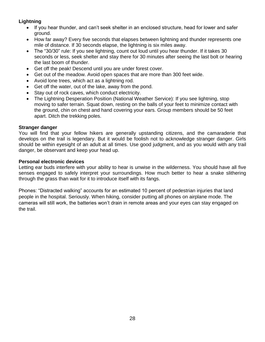#### **Lightning**

- If you hear thunder, and can't seek shelter in an enclosed structure, head for lower and safer ground.
- How far away? Every five seconds that elapses between lightning and thunder represents one mile of distance. If 30 seconds elapse, the lightning is six miles away.
- The "30/30" rule: If you see lightning, count out loud until you hear thunder. If it takes 30 seconds or less, seek shelter and stay there for 30 minutes after seeing the last bolt or hearing the last boom of thunder.
- Get off the peak! Descend until you are under forest cover.
- Get out of the meadow. Avoid open spaces that are more than 300 feet wide.
- Avoid lone trees, which act as a lightning rod.
- Get off the water, out of the lake, away from the pond.
- Stay out of rock caves, which conduct electricity.
- The Lightning Desperation Position (National Weather Service): If you see lightning, stop moving to safer terrain. Squat down, resting on the balls of your feet to minimize contact with the ground, chin on chest and hand covering your ears. Group members should be 50 feet apart. Ditch the trekking poles.

#### **Stranger danger**

You will find that your fellow hikers are generally upstanding citizens, and the camaraderie that develops on the trail is legendary. But it would be foolish not to acknowledge stranger danger. Girls should be within eyesight of an adult at all times. Use good judgment, and as you would with any trail danger, be observant and keep your head up.

#### **Personal electronic devices**

Letting ear buds interfere with your ability to hear is unwise in the wilderness. You should have all five senses engaged to safely interpret your surroundings. How much better to hear a snake slithering through the grass than wait for it to introduce itself with its fangs.

Phones: "Distracted walking" accounts for an estimated 10 percent of pedestrian injuries that land people in the hospital. Seriously. When hiking, consider putting all phones on airplane mode. The cameras will still work, the batteries won't drain in remote areas and your eyes can stay engaged on the trail.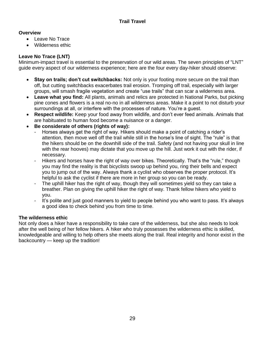- Leave No Trace
- Wilderness ethic

#### **Leave No Trace (LNT)**

Minimum-impact travel is essential to the preservation of our wild areas. The seven principles of "LNT" guide every aspect of our wilderness experience; here are the four every day-hiker should observe:

- **Stay on trails; don't cut switchbacks:** Not only is your footing more secure on the trail than off, but cutting switchbacks exacerbates trail erosion. Tromping off trail, especially with larger groups, will smash fragile vegetation and create "use trails" that can scar a wilderness area.
- **Leave what you find:** All plants, animals and relics are protected in National Parks, but picking pine cones and flowers is a real no-no in all wilderness areas. Make it a point to not disturb your surroundings at all, or interfere with the processes of nature. You're a guest.
- **Respect wildlife:** Keep your food away from wildlife, and don't ever feed animals. Animals that are habituated to human food become a nuisance or a danger.
- **Be considerate of others (rights of way):**
	- Horses always get the right of way. Hikers should make a point of catching a rider's attention, then move well off the trail while still in the horse's line of sight. The "rule" is that the hikers should be on the downhill side of the trail. Safety (and not having your skull in line with the rear hooves) may dictate that you move up the hill. Just work it out with the rider, if necessary.
	- Hikers and horses have the right of way over bikes. Theoretically. That's the "rule," though you may find the reality is that bicyclists swoop up behind you, ring their bells and expect you to jump out of the way. Always thank a cyclist who observes the proper protocol. It's helpful to ask the cyclist if there are more in her group so you can be ready.
	- The uphill hiker has the right of way, though they will sometimes yield so they can take a breather. Plan on giving the uphill hiker the right of way. Thank fellow hikers who yield to you.
	- It's polite and just good manners to yield to people behind you who want to pass. It's always a good idea to check behind you from time to time.

#### **The wilderness ethic**

Not only does a hiker have a responsibility to take care of the wilderness, but she also needs to look after the well being of her fellow hikers. A hiker who truly possesses the wilderness ethic is skilled, knowledgeable and willing to help others she meets along the trail. Real integrity and honor exist in the backcountry — keep up the tradition!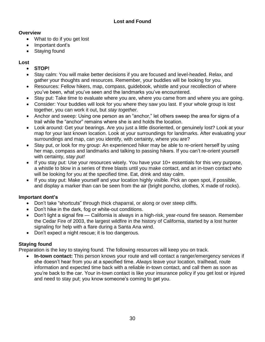- What to do if you get lost
- Important dont's
- Staying found

#### **Lost**

- **STOP!**
- Stay calm: You will make better decisions if you are focused and level-headed. Relax, and gather your thoughts and resources. Remember, your buddies will be looking for you.
- Resources: Fellow hikers, map, compass, guidebook, whistle and your recollection of where you've been, what you've seen and the landmarks you've encountered.
- Stay put: Take time to evaluate where you are, where you came from and where you are going.
- Consider: Your buddies will look for you where they saw you last. If your whole group is lost together, you can work it out, but *stay together.*
- Anchor and sweep: Using one person as an "anchor," let others sweep the area for signs of a trail while the "anchor" remains where she is and holds the location.
- Look around: Get your bearings. Are you just a little disoriented, or genuinely lost? Look at your map for your last known location. Look at your surroundings for landmarks. After evaluating your surroundings and map, can you identify, with certainty, where you are?
- Stay put, or look for my group: An experienced hiker may be able to re-orient herself by using her map, compass and landmarks and talking to passing hikers. If you can't re-orient yourself with certainty, *stay put!*
- If you stay put: Use your resources wisely. You have your 10+ essentials for this very purpose, a whistle to blow in a series of three blasts until you make contact, and an in-town contact who will be looking for you at the specified time. Eat, drink and stay calm.
- If you stay put: Make yourself and your location highly visible. Pick an open spot, if possible, and display a marker than can be seen from the air (bright poncho, clothes, X made of rocks).

#### **Important dont's**

- Don't take "shortcuts" through thick chaparral, or along or over steep cliffs.
- Don't hike in the dark, fog or white-out conditions.
- Don't light a signal fire California is always in a high-risk, year-round fire season. Remember the Cedar Fire of 2003, the largest wildfire in the history of California, started by a lost hunter signaling for help with a flare during a Santa Ana wind.
- Don't expect a night rescue; it is too dangerous.

#### **Staying found**

Preparation is the key to staying found. The following resources will keep you on track.

 **In-town contact:** This person knows your route and will contact a ranger/emergency services if she doesn't hear from you at a specified time. *Always* leave your location, trailhead, route information and expected time back with a reliable in-town contact, and call them as soon as you're back to the car. Your in-town contact is like your insurance policy if you get lost or injured and need to stay put; you know someone's coming to get you.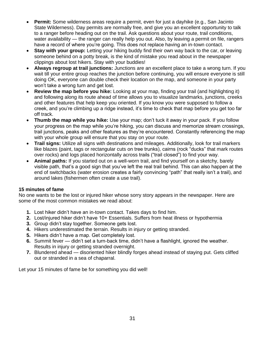- **Permit:** Some wilderness areas require a permit, even for just a dayhike (e.g., San Jacinto State Wilderness). Day permits are normally free, and give you an excellent opportunity to talk to a ranger before heading out on the trail. Ask questions about your route, trail conditions, water availability — the ranger can really help you out. Also, by leaving a permit on file, rangers have a record of where you're going. This does not replace having an in-town contact.
- Stay with your group: Letting your hiking buddy find their own way back to the car, or leaving someone behind on a potty break, is the kind of mistake you read about in the newspaper clippings about lost hikers. Stay with your buddies!
- **Always regroup at trail junctions:** Junctions are an excellent place to take a wrong turn. If you wait till your entire group reaches the junction before continuing, you will ensure everyone is still doing OK, everyone can double check their location on the map, and someone in your party won't take a wrong turn and get lost.
- **Review the map before you hike:** Looking at your map, finding your trail (and highlighting it) and following along its route ahead of time allows you to visualize landmarks, junctions, creeks and other features that help keep you oriented. If you know you were supposed to follow a creek, and you're climbing up a ridge instead, it's time to check that map before you get too far off track.
- **Thumb the map while you hike:** Use your map; don't tuck it away in your pack. If you follow your progress on the map while you're hiking, you can discuss and memorize stream crossings, trail junctions, peaks and other features as they're encountered. Constantly referencing the map with your whole group will ensure that you stay on your route.
- **Trail signs:** Utilize all signs with destinations and mileages. Additionally, look for trail markers like blazes (paint, tags or rectangular cuts on tree trunks), cairns (rock "ducks" that mark routes over rocks) and logs placed horizontally across trails ("trail closed") to find your way.
- **Animal paths:** If you started out on a well-worn trail, and find yourself on a sketchy, barely visible path, that's a good sign that you've left the real trail behind. This can also happen at the end of switchbacks (water erosion creates a fairly convincing "path" that really isn't a trail), and around lakes (fishermen often create a use trail).

#### **15 minutes of fame**

No one wants to be the lost or injured hiker whose sorry story appears in the newspaper. Here are some of the most common mistakes we read about:

- **1.** Lost hiker didn't have an in-town contact. Takes days to find him.
- **2.** Lost/injured hiker didn't have 10+ Essentials. Suffers from heat illness or hypothermia
- **3.** Group didn't stay together. Someone gets lost.
- **4.** Hikers underestimated the terrain. Results in injury or getting stranded.
- **5.** Hikers didn't have a map. Get completely lost.
- **6.** Summit fever didn't set a turn-back time, didn't have a flashlight, ignored the weather. Results in injury or getting stranded overnight.
- **7.** Blundered ahead disoriented hiker blindly forges ahead instead of staying put. Gets cliffed out or stranded in a sea of chaparral.

Let your 15 minutes of fame be for something you did well!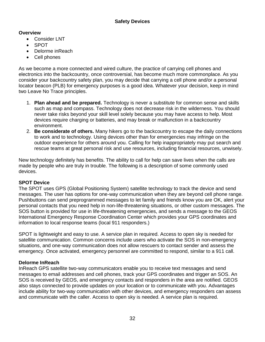- Consider LNT
- SPOT
- Delorme inReach
- Cell phones

As we become a more connected and wired culture, the practice of carrying cell phones and electronics into the backcountry, once controversial, has become much more commonplace. As you consider your backcountry safety plan, you may decide that carrying a cell phone and/or a personal locator beacon (PLB) for emergency purposes is a good idea. Whatever your decision, keep in mind two Leave No Trace principles.

- 1. **Plan ahead and be prepared.** Technology is never a substitute for common sense and skills such as map and compass. Technology does not decrease risk in the wilderness. You should never take risks beyond your skill level solely because you may have access to help. Most devices require charging or batteries, and may break or malfunction in a backcountry environment.
- 2. **Be considerate of others.** Many hikers go to the backcountry to escape the daily connections to work and to technology. Using devices other than for emergencies may infringe on the outdoor experience for others around you. Calling for help inappropriately may put search and rescue teams at great personal risk and use resources, including financial resources, unwisely.

New technology definitely has benefits. The ability to call for help can save lives when the calls are made by people who are truly in trouble. The following is a description of some commonly used devices.

#### **SPOT Device**

The SPOT uses GPS (Global Positioning System) satellite technology to track the device and send messages. The user has options for one-way communication when they are beyond cell phone range. Pushbuttons can send preprogrammed messages to let family and friends know you are OK, alert your personal contacts that you need help in non-life-threatening situations, or other custom messages. The SOS button is provided for use in life-threatening emergencies, and sends a message to the GEOS International Emergency Response Coordination Center which provides your GPS coordinates and information to local response teams (local 911 responders.)

SPOT is lightweight and easy to use. A service plan in required. Access to open sky is needed for satellite communication. Common concerns include users who activate the SOS in non-emergency situations, and one-way communication does not allow rescuers to contact sender and assess the emergency. Once activated, emergency personnel are committed to respond, similar to a 911 call.

#### **Delorme InReach**

InReach GPS satellite two-way communicators enable you to receive text messages and send messages to email addresses and cell phones, track your GPS coordinates and trigger an SOS. An SOS is received by GEOS, and emergency contacts and responders in the area are notified. GEOS also stays connected to provide updates on your location or to communicate with you. Advantages include ability for two-way communication with other devices, and emergency responders can assess and communicate with the caller. Access to open sky is needed. A service plan is required.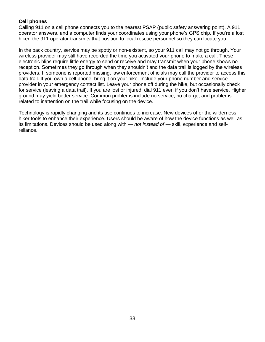#### **Cell phones**

Calling 911 on a cell phone connects you to the nearest PSAP (public safety answering point). A 911 operator answers, and a computer finds your coordinates using your phone's GPS chip. If you're a lost hiker, the 911 operator transmits that position to local rescue personnel so they can locate you.

In the back country, service may be spotty or non-existent, so your 911 call may not go through. Your wireless provider may still have recorded the time you activated your phone to make a call. These electronic blips require little energy to send or receive and may transmit when your phone shows no reception. Sometimes they go through when they shouldn't and the data trail is logged by the wireless providers. If someone is reported missing, law enforcement officials may call the provider to access this data trail. If you own a cell phone, bring it on your hike. Include your phone number and service provider in your emergency contact list. Leave your phone off during the hike, but occasionally check for service (leaving a data trail). If you are lost or injured, dial 911 even if you don't have service. Higher ground may yield better service. Common problems include no service, no charge, and problems related to inattention on the trail while focusing on the device.

Technology is rapidly changing and its use continues to increase. New devices offer the wilderness hiker tools to enhance their experience. Users should be aware of how the device functions as well as its limitations. Devices should be used along with — *not instead of* — skill, experience and selfreliance.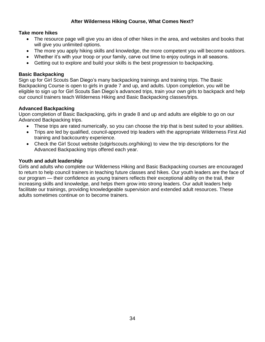#### **After Wilderness Hiking Course, What Comes Next?**

#### **Take more hikes**

- The resource page will give you an idea of other hikes in the area, and websites and books that will give you unlimited options.
- The more you apply hiking skills and knowledge, the more competent you will become outdoors.
- Whether it's with your troop or your family, carve out time to enjoy outings in all seasons.
- Getting out to explore and build your skills is the best progression to backpacking.

#### **Basic Backpacking**

Sign up for Girl Scouts San Diego's many backpacking trainings and training trips. The Basic Backpacking Course is open to girls in grade 7 and up, and adults. Upon completion, you will be eligible to sign up for Girl Scouts San Diego's advanced trips, train your own girls to backpack and help our council trainers teach Wilderness Hiking and Basic Backpacking classes/trips.

#### **Advanced Backpacking**

Upon completion of Basic Backpacking, girls in grade 8 and up and adults are eligible to go on our Advanced Backpacking trips.

- These trips are rated numerically, so you can choose the trip that is best suited to your abilities.
- Trips are led by qualified, council-approved trip leaders with the appropriate Wilderness First Aid training and backcountry experience.
- Check the Girl Scout website (sdgirlscouts.org/hiking) to view the trip descriptions for the Advanced Backpacking trips offered each year.

#### **Youth and adult leadership**

Girls and adults who complete our Wilderness Hiking and Basic Backpacking courses are encouraged to return to help council trainers in teaching future classes and hikes. Our youth leaders are the face of our program — their confidence as young trainers reflects their exceptional ability on the trail, their increasing skills and knowledge, and helps them grow into strong leaders. Our adult leaders help facilitate our trainings, providing knowledgeable supervision and extended adult resources. These adults sometimes continue on to become trainers.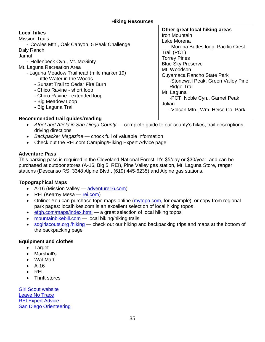#### **Local hikes**

Mission Trails

- Cowles Mtn., Oak Canyon, 5 Peak Challenge

Daly Ranch Jamul

- Hollenbeck Cyn., Mt. McGinty
- Mt. Laguna Recreation Area
	- Laguna Meadow Trailhead (mile marker 19)
		- Little Water in the Woods
		- Sunset Trail to Cedar Fire Burn
		- Chico Ravine short loop
		- Chico Ravine extended loop
		- Big Meadow Loop
		- Big Laguna Trail

**Other great local hiking areas** Iron Mountain Lake Morena -Morena Buttes loop, Pacific Crest Trail (PCT) Torrey Pines Blue Sky Preserve Mt. Woodson Cuyamaca Rancho State Park -Stonewall Peak, Green Valley Pine Ridge Trail Mt. Laguna -PCT, Noble Cyn., Garnet Peak Julian -Volcan Mtn., Wm. Heise Co. Park

#### **Recommended trail guides/reading**

- *Afoot and Afield in San Diego County* complete guide to our county's hikes, trail descriptions, driving directions
- *Backpacker Magazine* chock full of valuable information
- Check out the REI.com Camping/Hiking Expert Advice page!

#### **Adventure Pass**

This parking pass is required in the Cleveland National Forest. It's \$5/day or \$30/year, and can be purchased at outdoor stores (A-16, Big 5, REI), Pine Valley gas station, Mt. Laguna Store, ranger stations (Descanso RS: 3348 Alpine Blvd., (619) 445-6235) and Alpine gas stations.

#### **Topographical Maps**

- A-16 (Mission Valley adventure 16.com)
- REI (Kearny Mesa [rei.com\)](http://www.rei.com/)
- Online: You can purchase topo maps online [\(mytopo.com,](http://www.mytopo.com/) for example), or copy from regional park pages: localhikes.com is an excellent selection of local hiking topos.
- [efgh.com/maps/index.html](http://www.efgh.com/maps/index.html) a great selection of local hiking topos
- [mountainbikebill.com](http://www.mountainbikebill.com/) local biking/hiking trails
- [sdgirlscouts.org /hiking](http://www.sdgirlscouts.org/hiking) check out our hiking and backpacking trips and maps at the bottom of the backpacking page

#### **Equipment and clothes**

- Target
- Marshall's
- Wal-Mart
- $\bullet$  A-16
- $\bullet$  REI
- Thrift stores

[Girl Scout website](http://www.sdgirlscouts.org/hiking) [Leave No Trace](http://www.lnt.org/) [REI Expert Advice](http://www.rei.com/online/store/LearnShare) [San Diego Orienteering](http://www.geocities.com/o_sdoc/)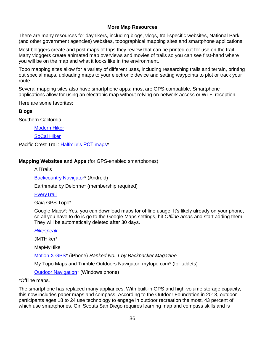#### **More Map Resources**

There are many resources for dayhikers, including blogs, vlogs, trail-specific websites, National Park (and other government agencies) websites, topographical mapping sites and smartphone applications.

Most bloggers create and post maps of trips they review that can be printed out for use on the trail. Many vloggers create animated map overviews and movies of trails so you can see first-hand where you will be on the map and what it looks like in the environment.

Topo mapping sites allow for a variety of different uses, including researching trails and terrain, printing out special maps, uploading maps to your electronic device and setting waypoints to plot or track your route.

Several mapping sites also have smartphone apps; most are GPS-compatible. Smartphone applications allow for using an electronic map without relying on network access or Wi-Fi reception.

Here are some favorites:

#### **Blogs**

Southern California:

[Modern Hiker](http://www.modernhiker.com/)

[SoCal Hiker](http://www.socalhiker.net/)

Pacific Crest Trail: [Halfmile's PCT maps\\*](http://www.pctmap.net/)

#### **Mapping Websites and Apps** (for GPS-enabled smartphones)

AllTrails

[Backcountry Navigator\\*](https://play.google.com/store/apps/details?id=com.crittermap.backcountrynavigator) (Android)

Earthmate by Delorme\* (membership required)

**[EveryTrail](http://www.everytrail.com/best/hiking-san-diego-california)** 

Gaia GPS Topo\*

Google Maps\*: Yes, you can download maps for offline usage! It's likely already on your phone, so all you have to do is go to the Google Maps settings, hit *Offline areas* and start adding them. They will be automatically deleted after 30 days.

#### *[Hikespeak](http://www.hikespeak.com/)*

JMTHiker\*

MapMyHike

[Motion X](https://itunes.apple.com/us/app/motionx-gps/id299949744?mt=8) GPS\* (iPhone) *Ranked No. 1 by Backpacker Magazine*

My Topo Maps and Trimble Outdoors Navigator: mytopo.com\* (for tablets)

**Outdoor Navigation**<sup>\*</sup> (Windows phone)

#### *\**Offline maps.

The smartphone has replaced many appliances. With built-in GPS and high-volume storage capacity, this now includes paper maps and compass. According to the Outdoor Foundation in 2013, outdoor participants ages 18 to 24 use technology to engage in outdoor recreation the most, 43 percent of which use smartphones. Girl Scouts San Diego requires learning map and compass skills and is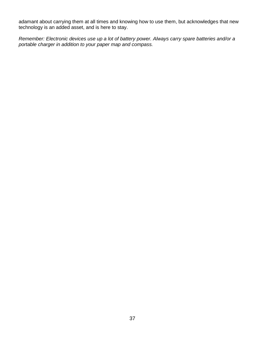adamant about carrying them at all times and knowing how to use them, but acknowledges that new technology is an added asset, and is here to stay.

*Remember: Electronic devices use up a lot of battery power. Always carry spare batteries and/or a portable charger in addition to your paper map and compass.*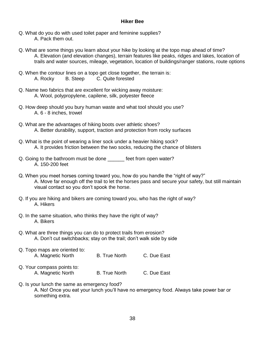#### **Hiker Bee**

- Q. What do you do with used toilet paper and feminine supplies? A. Pack them out.
- Q. What are some things you learn about your hike by looking at the topo map ahead of time? A. Elevation (and elevation changes), terrain features like peaks, ridges and lakes, location of trails and water sources, mileage, vegetation, location of buildings/ranger stations, route options
- Q. When the contour lines on a topo get close together, the terrain is: A. Rocky B. Steep C. Quite forested
- Q. Name two fabrics that are excellent for wicking away moisture: A. Wool, polypropylene, capilene, silk, polyester fleece
- Q. How deep should you bury human waste and what tool should you use? A. 6 - 8 inches, trowel
- Q. What are the advantages of hiking boots over athletic shoes? A. Better durability, support, traction and protection from rocky surfaces
- Q. What is the point of wearing a liner sock under a heavier hiking sock? A. It provides friction between the two socks, reducing the chance of blisters
- Q. Going to the bathroom must be done \_\_\_\_\_\_ feet from open water? A. 150-200 feet
- Q. When you meet horses coming toward you, how do you handle the "right of way?" A. Move far enough off the trail to let the horses pass and secure your safety, but still maintain visual contact so you don't spook the horse.
- Q. If you are hiking and bikers are coming toward you, who has the right of way? A. Hikers
- Q. In the same situation, who thinks they have the right of way? A. Bikers
- Q. What are three things you can do to protect trails from erosion? A. Don't cut switchbacks; stay on the trail; don't walk side by side
- Q. Topo maps are oriented to: A. Magnetic North B. True North C. Due East Q. Your compass points to:
	- A. Magnetic North B. True North C. Due East
- Q. Is your lunch the same as emergency food?

A. No! Once you eat your lunch you'll have no emergency food. Always take power bar or something extra.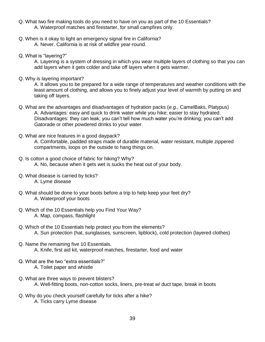- Q. What two fire making tools do you need to have on you as part of the 10 Essentials? A. Waterproof matches and firestarter, for small campfires only.
- Q. When is it okay to light an emergency signal fire in California? A. Never. California is at risk of wildfire year-round.
- Q. What is "layering?"

A. Layering is a system of dressing in which you wear multiple layers of clothing so that you can add layers when it gets colder and take off layers when it gets warmer.

Q. Why is layering important?

A. It allows you to be prepared for a wide range of temperatures and weather conditions with the least amount of clothing, and allows you to finely adjust your level of warmth by putting on and taking off layers.

- Q. What are the advantages and disadvantages of hydration packs (*e.g.,* CamelBaks, Platypus) A. Advantages: easy and quick to drink water while you hike; easier to stay hydrated. Disadvantages: they can leak; you can't tell how much water you're drinking; you can't add Gatorade or other powdered drinks to your water.
- Q. What are nice features in a good daypack?

A. Comfortable, padded straps made of durable material, water resistant, multiple zippered compartments, loops on the outside to hang things on.

- Q. Is cotton a good choice of fabric for hiking? Why? A. No, because when it gets wet is sucks the heat out of your body.
- Q. What disease is carried by ticks? A. Lyme disease
- Q. What should be done to your boots before a trip to help keep your feet dry? A. Waterproof your boots
- Q. Which of the 10 Essentials help you Find Your Way? A. Map, compass, flashlight
- Q. Which of the 10 Essentials help protect you from the elements? A. Sun protection (hat, sunglasses, sunscreen, lipblock), cold protection (layered clothes)
- Q. Name the remaining five 10 Essentials. A. Knife, first aid kit, waterproof matches, firestarter, food and water
- Q. What are the two "extra essentials?" A. Toilet paper and whistle
- Q. What are three ways to prevent blisters? A. Well-fitting boots, non-cotton socks, liners, pre-treat w/ duct tape, break in boots
- Q. Why do you check yourself carefully for ticks after a hike? A. Ticks carry Lyme disease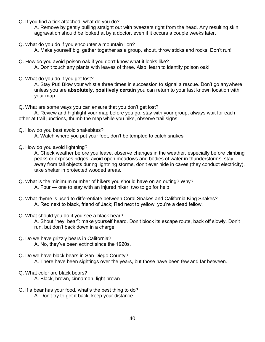Q. If you find a tick attached, what do you do?

A. Remove by gently pulling straight out with tweezers right from the head. Any resulting skin aggravation should be looked at by a doctor, even if it occurs a couple weeks later.

Q. What do you do if you encounter a mountain lion?

A. Make yourself big, gather together as a group, shout, throw sticks and rocks. Don't run!

- Q. How do you avoid poison oak if you don't know what it looks like? A. Don't touch any plants with leaves of three. Also, learn to identify poison oak!
- Q. What do you do if you get lost?

A. Stay Put! Blow your whistle three times in succession to signal a rescue. Don't go anywhere unless you are **absolutely, positively certain** you can return to your last known location with your map.

Q. What are some ways you can ensure that you don't get lost?

A. Review and highlight your map before you go, stay with your group, always wait for each other at trail junctions, thumb the map while you hike, observe trail signs.

Q. How do you best avoid snakebites?

A. Watch where you put your feet, don't be tempted to catch snakes

Q. How do you avoid lightning?

A. Check weather before you leave, observe changes in the weather, especially before climbing peaks or exposes ridges, avoid open meadows and bodies of water in thunderstorms, stay away from tall objects during lightning storms, don't ever hide in caves (they conduct electricity), take shelter in protected wooded areas.

- Q. What is the minimum number of hikers you should have on an outing? Why? A. Four — one to stay with an injured hiker, two to go for help
- Q. What rhyme is used to differentiate between Coral Snakes and California King Snakes? A. Red next to black, friend of Jack; Red next to yellow, you're a dead fellow.
- Q. What should you do if you see a black bear? A. Shout "hey, bear": make yourself heard. Don't block its escape route, back off slowly. Don't run, but don't back down in a charge.
- Q. Do we have grizzly bears in California? A. No, they've been extinct since the 1920s.
- Q. Do we have black bears in San Diego County? A. There have been sightings over the years, but those have been few and far between.
- Q. What color are black bears? A. Black, brown, cinnamon, light brown
- Q. If a bear has your food, what's the best thing to do? A. Don't try to get it back; keep your distance.